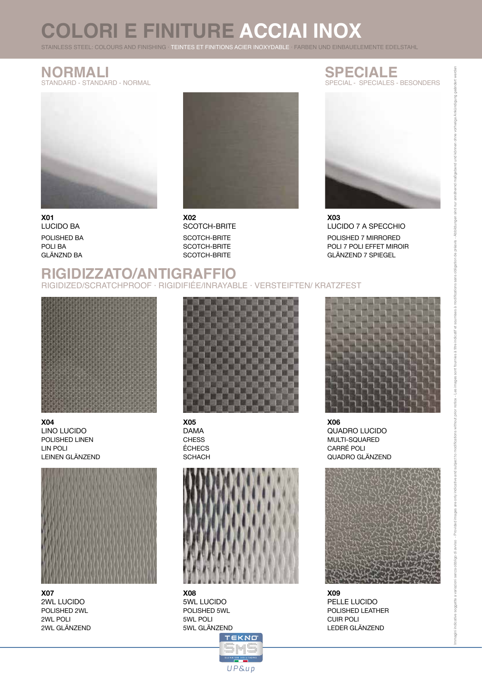# **COLORI E FINITURE ACCIAI INOX**

STAINLESS STEEL: COLOURS AND FINISHING · TEINTES ET FINITIONS ACIER INOXYDABLE · FARBEN UND EINBAUELEMENTE EDELSTAHL

## **NORMALI**

STANDARD - STANDARD - NORMAL



**X01** LUCIDO BA POLISHED BA POLI BA GLÄNZND BA



SCOTCH-BRITE SCOTCH-BRITE SCOTCH-BRITE **X02** SCOTCH-BRITE

#### **SPECIALE** SPECIAL - SPECIALES - BESONDERS



POLISHED 7 MIRRORED POLI 7 POLI EFFET MIROIR GLÄNZEND 7 SPIEGEL **X03** LUCIDO 7 A SPECCHIO

#### **RIGIDIZZATO/ANTIGRAFFIO** RIGIDIZED/SCRATCHPROOF · RIGIDIFIÉE/INRAYABLE · VERSTEIFTEN/ KRATZFEST



POLISHED LINEN LIN POLI LEINEN GLÄNZEND **X04** LINO LUCIDO



POLISHED 2WL 2WL POLI 2WL GLÄNZEND **X07** 2WL LUCIDO



**CHESS** ÉCHECS **SCHACH X05** DAMA



10000 00 000<br>12220 00000000<br>10000 000000000<br>10000 00 000000

UP&up

**X08** 5WL LUCIDO POLISHED 5WL 5WL POLI 5WL GLÄNZEND **TEKNO** 



MULTI-SQUARED CARRÉ POLI QUADRO GLÄNZEND **X06** QUADRO LUCIDO



POLISHED LEATHER CUIR POLI LEDER GLÄNZEND **X09** PELLE LUCIDO